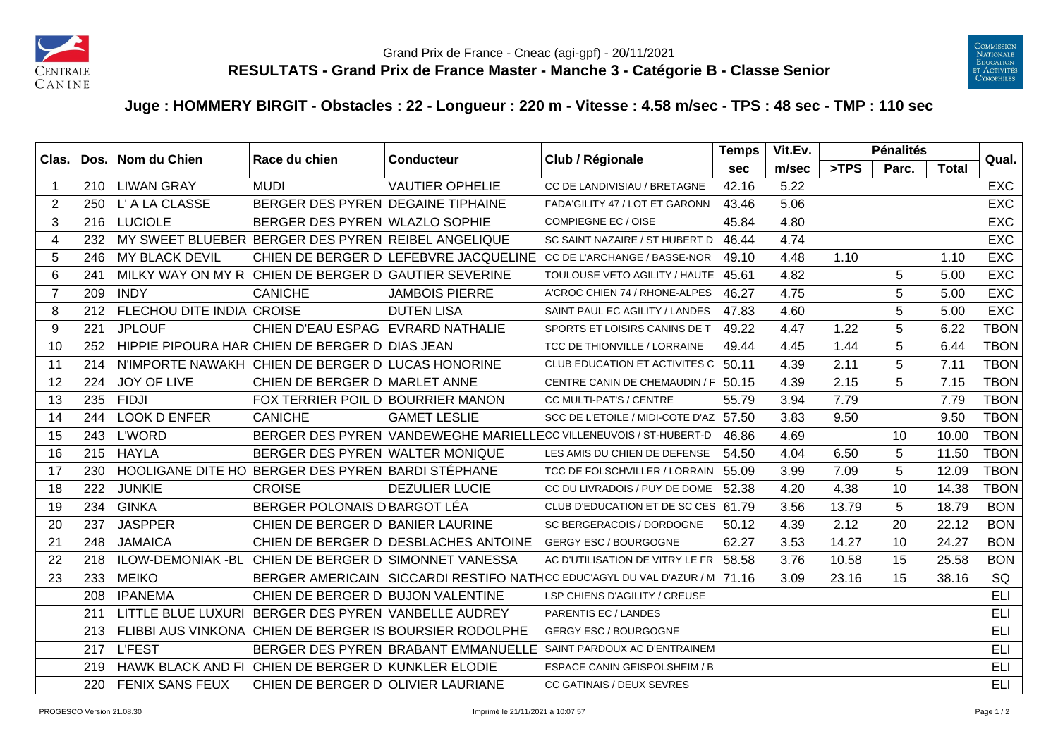



## **Juge : HOMMERY BIRGIT - Obstacles : 22 - Longueur : 220 m - Vitesse : 4.58 m/sec - TPS : 48 sec - TMP : 110 sec**

| Clas.          | Dos. | Nom du Chien              | Race du chien                                         | <b>Conducteur</b>                                       | Club / Régionale                                                          | <b>Temps</b> | Vit.Ev. |       | <b>Pénalités</b> |              | Qual.       |
|----------------|------|---------------------------|-------------------------------------------------------|---------------------------------------------------------|---------------------------------------------------------------------------|--------------|---------|-------|------------------|--------------|-------------|
|                |      |                           |                                                       |                                                         |                                                                           | <b>sec</b>   | m/sec   | >TPS  | Parc.            | <b>Total</b> |             |
| 1              |      | 210 LIWAN GRAY            | <b>MUDI</b>                                           | <b>VAUTIER OPHELIE</b>                                  | CC DE LANDIVISIAU / BRETAGNE                                              | 42.16        | 5.22    |       |                  |              | <b>EXC</b>  |
| 2              | 250  | L' A LA CLASSE            | BERGER DES PYREN DEGAINE TIPHAINE                     |                                                         | FADA'GILITY 47 / LOT ET GARONN                                            | 43.46        | 5.06    |       |                  |              | <b>EXC</b>  |
| 3              | 216  | <b>LUCIOLE</b>            | BERGER DES PYREN WLAZLO SOPHIE                        |                                                         | <b>COMPIEGNE EC / OISE</b>                                                | 45.84        | 4.80    |       |                  |              | <b>EXC</b>  |
| 4              | 232  |                           | MY SWEET BLUEBER BERGER DES PYREN REIBEL ANGELIQUE    |                                                         | SC SAINT NAZAIRE / ST HUBERT D                                            | 46.44        | 4.74    |       |                  |              | <b>EXC</b>  |
| 5              | 246  | <b>MY BLACK DEVIL</b>     |                                                       |                                                         | CHIEN DE BERGER D LEFEBVRE JACQUELINE CC DE L'ARCHANGE / BASSE-NOR        | 49.10        | 4.48    | 1.10  |                  | 1.10         | <b>EXC</b>  |
| 6              | 241  |                           | MILKY WAY ON MY R CHIEN DE BERGER D GAUTIER SEVERINE  |                                                         | TOULOUSE VETO AGILITY / HAUTE 45.61                                       |              | 4.82    |       | 5                | 5.00         | <b>EXC</b>  |
| $\overline{7}$ | 209  | <b>INDY</b>               | <b>CANICHE</b>                                        | <b>JAMBOIS PIERRE</b>                                   | A'CROC CHIEN 74 / RHONE-ALPES                                             | 46.27        | 4.75    |       | 5                | 5.00         | <b>EXC</b>  |
| 8              | 212  | FLECHOU DITE INDIA CROISE |                                                       | <b>DUTEN LISA</b>                                       | SAINT PAUL EC AGILITY / LANDES                                            | 47.83        | 4.60    |       | 5                | 5.00         | <b>EXC</b>  |
| 9              | 221  | <b>JPLOUF</b>             | CHIEN D'EAU ESPAG EVRARD NATHALIE                     |                                                         | SPORTS ET LOISIRS CANINS DE T                                             | 49.22        | 4.47    | 1.22  | 5                | 6.22         | <b>TBON</b> |
| 10             | 252  |                           | HIPPIE PIPOURA HAR CHIEN DE BERGER D DIAS JEAN        |                                                         | TCC DE THIONVILLE / LORRAINE                                              | 49.44        | 4.45    | 1.44  | 5                | 6.44         | <b>TBON</b> |
| 11             | 214  |                           | N'IMPORTE NAWAKH CHIEN DE BERGER D LUCAS HONORINE     |                                                         | CLUB EDUCATION ET ACTIVITES C 50.11                                       |              | 4.39    | 2.11  | 5                | 7.11         | <b>TBON</b> |
| 12             | 224  | JOY OF LIVE               | CHIEN DE BERGER D MARLET ANNE                         |                                                         | CENTRE CANIN DE CHEMAUDIN / F 50.15                                       |              | 4.39    | 2.15  | 5                | 7.15         | <b>TBON</b> |
| 13             | 235  | <b>FIDJI</b>              | FOX TERRIER POIL D BOURRIER MANON                     |                                                         | CC MULTI-PAT'S / CENTRE                                                   | 55.79        | 3.94    | 7.79  |                  | 7.79         | <b>TBON</b> |
| 14             | 244  | <b>LOOK D ENFER</b>       | <b>CANICHE</b>                                        | <b>GAMET LESLIE</b>                                     | SCC DE L'ETOILE / MIDI-COTE D'AZ 57.50                                    |              | 3.83    | 9.50  |                  | 9.50         | <b>TBON</b> |
| 15             | 243  | <b>L'WORD</b>             |                                                       |                                                         | BERGER DES PYREN VANDEWEGHE MARIELLECC VILLENEUVOIS / ST-HUBERT-D         | 46.86        | 4.69    |       | 10               | 10.00        | <b>TBON</b> |
| 16             | 215  | <b>HAYLA</b>              | BERGER DES PYREN WALTER MONIQUE                       |                                                         | LES AMIS DU CHIEN DE DEFENSE                                              | 54.50        | 4.04    | 6.50  | 5                | 11.50        | <b>TBON</b> |
| 17             | 230  |                           | HOOLIGANE DITE HO BERGER DES PYREN BARDI STÉPHANE     |                                                         | TCC DE FOLSCHVILLER / LORRAIN                                             | 55.09        | 3.99    | 7.09  | 5                | 12.09        | <b>TBON</b> |
| 18             | 222  | <b>JUNKIE</b>             | <b>CROISE</b>                                         | <b>DEZULIER LUCIE</b>                                   | CC DU LIVRADOIS / PUY DE DOME                                             | 52.38        | 4.20    | 4.38  | 10               | 14.38        | <b>TBON</b> |
| 19             | 234  | <b>GINKA</b>              | BERGER POLONAIS D BARGOT LÉA                          |                                                         | CLUB D'EDUCATION ET DE SC CES 61.79                                       |              | 3.56    | 13.79 | 5                | 18.79        | <b>BON</b>  |
| 20             | 237  | <b>JASPPER</b>            | CHIEN DE BERGER D BANIER LAURINE                      |                                                         | SC BERGERACOIS / DORDOGNE                                                 | 50.12        | 4.39    | 2.12  | 20               | 22.12        | <b>BON</b>  |
| 21             | 248  | <b>JAMAICA</b>            |                                                       | CHIEN DE BERGER D DESBLACHES ANTOINE                    | <b>GERGY ESC / BOURGOGNE</b>                                              | 62.27        | 3.53    | 14.27 | 10               | 24.27        | <b>BON</b>  |
| 22             | 218  |                           | ILOW-DEMONIAK - BL CHIEN DE BERGER D SIMONNET VANESSA |                                                         | AC D'UTILISATION DE VITRY LE FR 58.58                                     |              | 3.76    | 10.58 | 15               | 25.58        | <b>BON</b>  |
| 23             | 233  | <b>MEIKO</b>              |                                                       |                                                         | BERGER AMERICAIN SICCARDI RESTIFO NATHCC EDUCAGYL DU VAL D'AZUR / M 71.16 |              | 3.09    | 23.16 | 15               | 38.16        | SQ          |
|                | 208  | <b>IPANEMA</b>            | CHIEN DE BERGER D BUJON VALENTINE                     |                                                         | LSP CHIENS D'AGILITY / CREUSE                                             |              |         |       |                  |              | <b>ELI</b>  |
|                | 211  |                           | LITTLE BLUE LUXURI BERGER DES PYREN VANBELLE AUDREY   |                                                         | PARENTIS EC / LANDES                                                      |              |         |       |                  |              | ELI         |
|                | 213  |                           |                                                       | FLIBBI AUS VINKONA CHIEN DE BERGER IS BOURSIER RODOLPHE | <b>GERGY ESC / BOURGOGNE</b>                                              |              |         |       |                  |              | ELI         |
|                | 217  | <b>L'FEST</b>             |                                                       | BERGER DES PYREN BRABANT EMMANUELLE                     | SAINT PARDOUX AC D'ENTRAINEM                                              |              |         |       |                  |              | ELI         |
|                | 219  |                           | HAWK BLACK AND FI CHIEN DE BERGER D KUNKLER ELODIE    |                                                         | ESPACE CANIN GEISPOLSHEIM / B                                             |              |         |       |                  |              | <b>ELI</b>  |
|                | 220  | <b>FENIX SANS FEUX</b>    | CHIEN DE BERGER D OLIVIER LAURIANE                    |                                                         | CC GATINAIS / DEUX SEVRES                                                 |              |         |       |                  |              | <b>ELI</b>  |